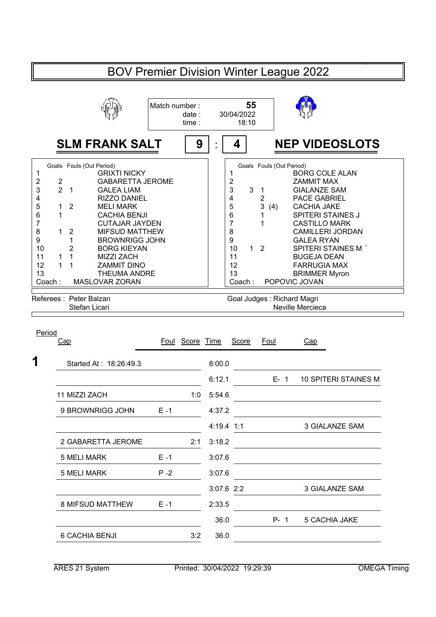| <b>BOV Premier Division Winter League 2022</b>                                                                                        |                                                                                                                                                                                                                                                                                                                                                                                                                                         |               |                 |                                                      |                                                    |                                                                                                    |                                                                                                                                                                                                                                                                                                                                      |  |  |
|---------------------------------------------------------------------------------------------------------------------------------------|-----------------------------------------------------------------------------------------------------------------------------------------------------------------------------------------------------------------------------------------------------------------------------------------------------------------------------------------------------------------------------------------------------------------------------------------|---------------|-----------------|------------------------------------------------------|----------------------------------------------------|----------------------------------------------------------------------------------------------------|--------------------------------------------------------------------------------------------------------------------------------------------------------------------------------------------------------------------------------------------------------------------------------------------------------------------------------------|--|--|
|                                                                                                                                       |                                                                                                                                                                                                                                                                                                                                                                                                                                         | Match number: | date:<br>time:  |                                                      | 55<br>30/04/2022<br>18:10                          |                                                                                                    |                                                                                                                                                                                                                                                                                                                                      |  |  |
|                                                                                                                                       | <b>SLM FRANK SALT</b>                                                                                                                                                                                                                                                                                                                                                                                                                   |               | 9               |                                                      | 4                                                  |                                                                                                    | <b>NEP VIDEOSLOTS</b>                                                                                                                                                                                                                                                                                                                |  |  |
| $\mathbf 1$<br>2<br>2<br>$\overline{2}$<br>3<br>4<br>5<br>1<br>6<br>1<br>7<br>8<br>1<br>9<br>10<br>11<br>1<br>1<br>12<br>13<br>Coach: | Goals Fouls (Out Period)<br><b>GRIXTI NICKY</b><br><b>GABARETTA JEROME</b><br>$\overline{1}$<br><b>GALEA LIAM</b><br><b>RIZZO DANIEL</b><br>$\overline{2}$<br><b>MELI MARK</b><br><b>CACHIA BENJI</b><br><b>CUTAJAR JAYDEN</b><br><b>MIFSUD MATTHEW</b><br>$\overline{2}$<br>1<br><b>BROWNRIGG JOHN</b><br>2<br><b>BORG KIEYAN</b><br>1<br><b>MIZZI ZACH</b><br>1<br><b>ZAMMIT DINO</b><br><b>THEUMA ANDRE</b><br><b>MASLOVAR ZORAN</b> |               |                 | 1<br>$\overline{c}$<br>5<br>6<br>$\overline{7}$<br>8 | 3<br>3<br>4<br>9<br>10<br>11<br>12<br>13<br>Coach: | Goals Fouls (Out Period)<br>$\mathbf{1}$<br>$\overline{2}$<br>3<br>(4)<br>1<br>1<br>1 <sub>2</sub> | <b>BORG COLE ALAN</b><br><b>ZAMMIT MAX</b><br><b>GIALANZE SAM</b><br><b>PACE GABRIEL</b><br><b>CACHIA JAKE</b><br><b>SPITERI STAINES J</b><br><b>CASTILLO MARK</b><br><b>CAMILLERI JORDAN</b><br><b>GALEA RYAN</b><br><b>SPITERI STAINES M</b><br><b>BUGEJA DEAN</b><br><b>FARRUGIA MAX</b><br><b>BRIMMER Myron</b><br>POPOVIC JOVAN |  |  |
| Referees: Peter Balzan<br>Stefan Licari                                                                                               |                                                                                                                                                                                                                                                                                                                                                                                                                                         |               |                 | Goal Judges: Richard Magri<br>Neville Mercieca       |                                                    |                                                                                                    |                                                                                                                                                                                                                                                                                                                                      |  |  |
| Period                                                                                                                                | Cap                                                                                                                                                                                                                                                                                                                                                                                                                                     |               | Foul Score Time |                                                      | Score                                              | Foul                                                                                               | Cap                                                                                                                                                                                                                                                                                                                                  |  |  |
|                                                                                                                                       | Started At: 18:26:49.3                                                                                                                                                                                                                                                                                                                                                                                                                  |               |                 | 8:00.0                                               |                                                    |                                                                                                    |                                                                                                                                                                                                                                                                                                                                      |  |  |
|                                                                                                                                       | 11 MIZZI ZACH                                                                                                                                                                                                                                                                                                                                                                                                                           |               | 1:0             | 6:12.1<br>5:54.6                                     |                                                    | $E - 1$                                                                                            | <b>10 SPITERI STAINES M</b>                                                                                                                                                                                                                                                                                                          |  |  |
|                                                                                                                                       | 9 BROWNRIGG JOHN                                                                                                                                                                                                                                                                                                                                                                                                                        | $E - 1$       |                 | 4:37.2                                               |                                                    |                                                                                                    |                                                                                                                                                                                                                                                                                                                                      |  |  |
|                                                                                                                                       |                                                                                                                                                                                                                                                                                                                                                                                                                                         |               |                 | 4:19.4 1:1                                           |                                                    |                                                                                                    | <b>3 GIALANZE SAM</b>                                                                                                                                                                                                                                                                                                                |  |  |
|                                                                                                                                       | 2 GABARETTA JEROME                                                                                                                                                                                                                                                                                                                                                                                                                      |               | 2:1             | 3:18.2                                               |                                                    |                                                                                                    |                                                                                                                                                                                                                                                                                                                                      |  |  |
|                                                                                                                                       | 5 MELI MARK                                                                                                                                                                                                                                                                                                                                                                                                                             | $E - 1$       |                 | 3:07.6                                               |                                                    |                                                                                                    |                                                                                                                                                                                                                                                                                                                                      |  |  |
|                                                                                                                                       | <b>5 MELI MARK</b>                                                                                                                                                                                                                                                                                                                                                                                                                      | $P - 2$       |                 | 3:07.6<br>$3:07.6$ 2:2                               |                                                    |                                                                                                    | 3 GIALANZE SAM                                                                                                                                                                                                                                                                                                                       |  |  |
|                                                                                                                                       | 8 MIFSUD MATTHEW                                                                                                                                                                                                                                                                                                                                                                                                                        | $E - 1$       |                 | 2:33.5                                               |                                                    |                                                                                                    |                                                                                                                                                                                                                                                                                                                                      |  |  |
|                                                                                                                                       |                                                                                                                                                                                                                                                                                                                                                                                                                                         |               |                 | 36.0                                                 |                                                    | $P - 1$                                                                                            | 5 CACHIA JAKE                                                                                                                                                                                                                                                                                                                        |  |  |
|                                                                                                                                       | 6 CACHIA BENJI                                                                                                                                                                                                                                                                                                                                                                                                                          |               | 3:2             | 36.0                                                 |                                                    |                                                                                                    |                                                                                                                                                                                                                                                                                                                                      |  |  |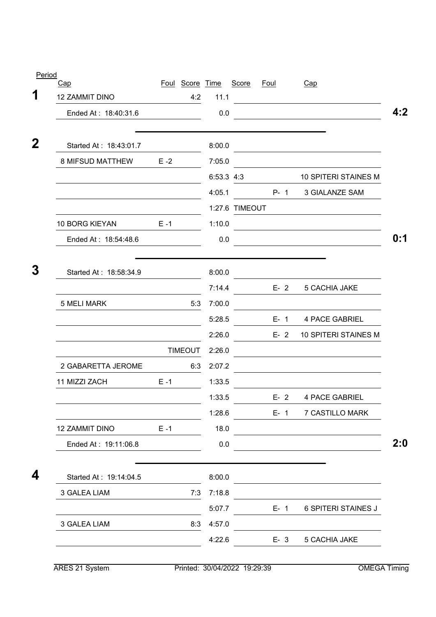| Cap                     |         | Foul Score Time |            | Score          | <b>Foul</b> |         | Cap                                                                                                                   |
|-------------------------|---------|-----------------|------------|----------------|-------------|---------|-----------------------------------------------------------------------------------------------------------------------|
| <b>12 ZAMMIT DINO</b>   |         | 4:2             | 11.1       |                |             |         | <u> 1980 - Johann Barbara, martxa alemaniar a</u>                                                                     |
| Ended At: 18:40:31.6    |         |                 | 0.0        |                |             |         |                                                                                                                       |
| Started At: 18:43:01.7  |         |                 | 8:00.0     |                |             |         | the control of the control of the control of the control of the control of the control of                             |
| <b>8 MIFSUD MATTHEW</b> | $E - 2$ |                 | 7:05.0     |                |             |         |                                                                                                                       |
|                         |         |                 | 6:53.3 4:3 |                |             |         | <b>10 SPITERI STAINES M</b>                                                                                           |
|                         |         |                 | 4:05.1     |                |             | $P - 1$ | 3 GIALANZE SAM                                                                                                        |
|                         |         |                 |            | 1:27.6 TIMEOUT |             |         |                                                                                                                       |
| 10 BORG KIEYAN          | $E - 1$ |                 | 1:10.0     |                |             |         | <u>and the state of the state of the state of the state of the state of the state of the state of the state of th</u> |
| Ended At: 18:54:48.6    |         |                 | 0.0        |                |             |         |                                                                                                                       |
| Started At: 18:58:34.9  |         |                 | 8:00.0     |                |             |         |                                                                                                                       |
|                         |         |                 | 7:14.4     |                |             | $E-2$   | 5 CACHIA JAKE                                                                                                         |
| <b>5 MELI MARK</b>      |         | 5:3             | 7:00.0     |                |             |         |                                                                                                                       |
|                         |         |                 | 5:28.5     |                |             | $E - 1$ | 4 PACE GABRIEL                                                                                                        |
|                         |         |                 | 2:26.0     |                |             | $E - 2$ | <b>10 SPITERI STAINES M</b>                                                                                           |
|                         |         | <b>TIMEOUT</b>  | 2:26.0     |                |             |         |                                                                                                                       |
| 2 GABARETTA JEROME      |         | 6:3             | 2:07.2     |                |             |         |                                                                                                                       |
| 11 MIZZI ZACH           | $E - 1$ |                 | 1:33.5     |                |             |         |                                                                                                                       |
|                         |         |                 | 1:33.5     |                |             |         | E- 2 4 PACE GABRIEL                                                                                                   |
|                         |         |                 | 1:28.6     |                |             | $E - 1$ | 7 CASTILLO MARK                                                                                                       |
| 12 ZAMMIT DINO          | $E - 1$ |                 | 18.0       |                |             |         |                                                                                                                       |
| Ended At: 19:11:06.8    |         |                 | 0.0        |                |             |         |                                                                                                                       |
| Started At: 19:14:04.5  |         |                 | 8:00.0     |                |             |         |                                                                                                                       |
| 3 GALEA LIAM            |         | 7:3             | 7:18.8     |                |             |         |                                                                                                                       |
|                         |         |                 | 5:07.7     |                |             | $E-1$   | <b>6 SPITERI STAINES J</b>                                                                                            |
| 3 GALEA LIAM            |         | 8:3             | 4:57.0     |                |             |         |                                                                                                                       |
|                         |         |                 | 4:22.6     |                |             | $E - 3$ | 5 CACHIA JAKE                                                                                                         |